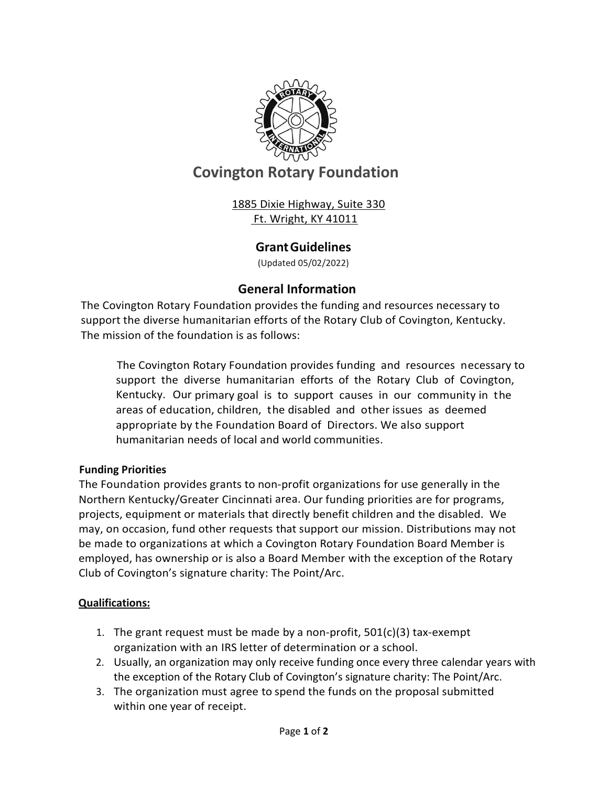

# **Covington Rotary Foundation**

1885 Dixie Highway, Suite 330 Ft. Wright, KY 41011

## **GrantGuidelines**

(Updated 05/02/2022)

## **General Information**

The Covington Rotary Foundation provides the funding and resources necessary to support the diverse humanitarian efforts of the Rotary Club of Covington, Kentucky. The mission of the foundation is as follows:

The Covington Rotary Foundation provides funding and resources necessary to support the diverse humanitarian efforts of the Rotary Club of Covington, Kentucky. Our primary goal is to support causes in our community in the areas of education, children, the disabled and other issues as deemed appropriate by the Foundation Board of Directors. We also support humanitarian needs of local and world communities.

#### **Funding Priorities**

The Foundation provides grants to non-profit organizations for use generally in the Northern Kentucky/Greater Cincinnati area. Our funding priorities are for programs, projects, equipment or materials that directly benefit children and the disabled. We may, on occasion, fund other requests that support our mission. Distributions may not be made to organizations at which a Covington Rotary Foundation Board Member is employed, has ownership or is also a Board Member with the exception of the Rotary Club of Covington's signature charity: The Point/Arc.

#### **Qualifications:**

- 1. The grant request must be made by a non-profit,  $501(c)(3)$  tax-exempt organization with an IRS letter of determination or a school.
- 2. Usually, an organization may only receive funding once every three calendar years with the exception of the Rotary Club of Covington's signature charity: The Point/Arc.
- 3. The organization must agree to spend the funds on the proposal submitted within one year of receipt.